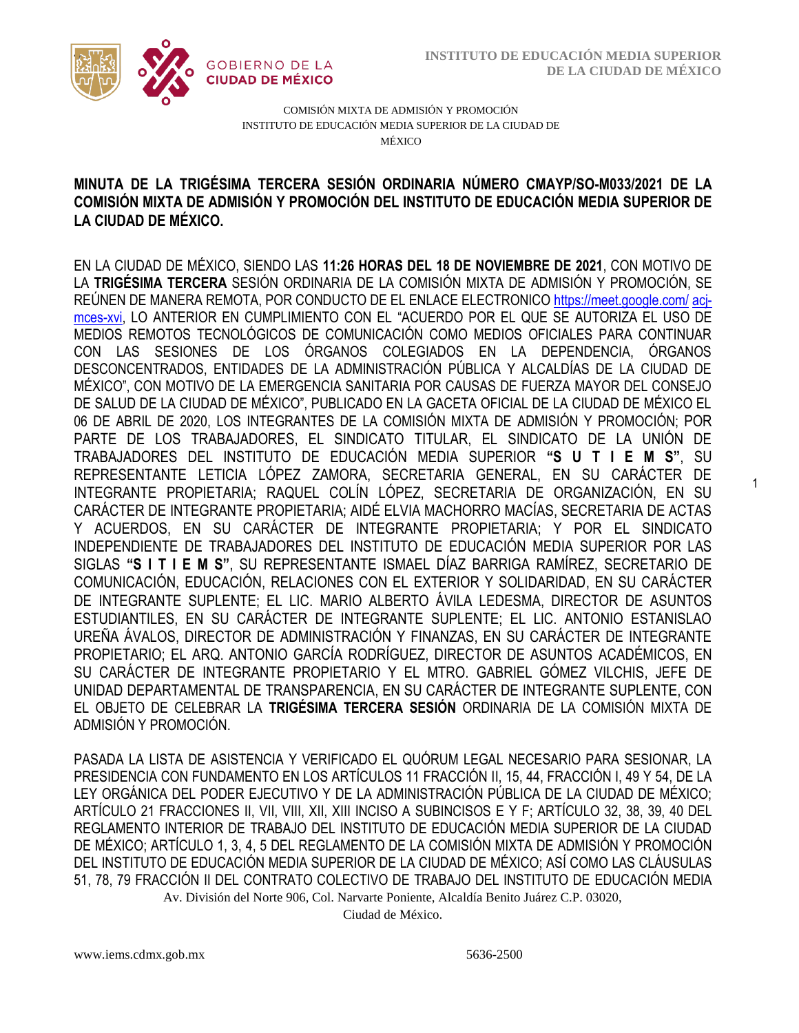1



COMISIÓN MIXTA DE ADMISIÓN Y PROMOCIÓN INSTITUTO DE EDUCACIÓN MEDIA SUPERIOR DE LA CIUDAD DE MÉXICO

## COMISIÓN MIXTA DE ADMISIÓN Y PROMOCIÓN DEL INSTITUTO DE EDUCACIÓN MEDIA SUPERIOR DE **MINUTA DE LA TRIGÉSIMA TERCERA SESIÓN ORDINARIA NÚMERO CMAYP/SO-M033/2021 DE LA LA CIUDAD DE MÉXICO.**

EN LA CIUDAD DE MÉXICO, SIENDO LAS **11:26 HORAS DEL 18 DE NOVIEMBRE DE 2021**, CON MOTIVO DE LA **TRIGÉSIMA TERCERA** SESIÓN ORDINARIA DE LA COMISIÓN MIXTA DE ADMISIÓN Y PROMOCIÓN, SE REÚNEN DE MANERA REMOTA, POR CONDUCTO DE EL ENLACE ELECTRONIC[O https://meet.google.com/](https://meet.google.com/owz-zeir-) acj[mces-xvi,](https://meet.google.com/owz-zeir-) LO ANTERIOR EN CUMPLIMIENTO CON EL "ACUERDO POR EL QUE SE AUTORIZA EL USO DE MEDIOS REMOTOS TECNOLÓGICOS DE COMUNICACIÓN COMO MEDIOS OFICIALES PARA CONTINUAR CON LAS SESIONES DE LOS ÓRGANOS COLEGIADOS EN LA DEPENDENCIA, ÓRGANOS DESCONCENTRADOS, ENTIDADES DE LA ADMINISTRACIÓN PÚBLICA Y ALCALDÍAS DE LA CIUDAD DE MÉXICO", CON MOTIVO DE LA EMERGENCIA SANITARIA POR CAUSAS DE FUERZA MAYOR DEL CONSEJO DE SALUD DE LA CIUDAD DE MÉXICO", PUBLICADO EN LA GACETA OFICIAL DE LA CIUDAD DE MÉXICO EL 06 DE ABRIL DE 2020, LOS INTEGRANTES DE LA COMISIÓN MIXTA DE ADMISIÓN Y PROMOCIÓN; POR PARTE DE LOS TRABAJADORES, EL SINDICATO TITULAR, EL SINDICATO DE LA UNIÓN DE TRABAJADORES DEL INSTITUTO DE EDUCACIÓN MEDIA SUPERIOR **"S U T I E M S"**, SU REPRESENTANTE LETICIA LÓPEZ ZAMORA, SECRETARIA GENERAL, EN SU CARÁCTER DE INTEGRANTE PROPIETARIA; RAQUEL COLÍN LÓPEZ, SECRETARIA DE ORGANIZACIÓN, EN SU CARÁCTER DE INTEGRANTE PROPIETARIA; AIDÉ ELVIA MACHORRO MACÍAS, SECRETARIA DE ACTAS Y ACUERDOS, EN SU CARÁCTER DE INTEGRANTE PROPIETARIA; Y POR EL SINDICATO INDEPENDIENTE DE TRABAJADORES DEL INSTITUTO DE EDUCACIÓN MEDIA SUPERIOR POR LAS SIGLAS **"S I T I E M S"**, SU REPRESENTANTE ISMAEL DÍAZ BARRIGA RAMÍREZ, SECRETARIO DE COMUNICACIÓN, EDUCACIÓN, RELACIONES CON EL EXTERIOR Y SOLIDARIDAD, EN SU CARÁCTER DE INTEGRANTE SUPLENTE; EL LIC. MARIO ALBERTO ÁVILA LEDESMA, DIRECTOR DE ASUNTOS ESTUDIANTILES, EN SU CARÁCTER DE INTEGRANTE SUPLENTE; EL LIC. ANTONIO ESTANISLAO UREÑA ÁVALOS, DIRECTOR DE ADMINISTRACIÓN Y FINANZAS, EN SU CARÁCTER DE INTEGRANTE PROPIETARIO; EL ARQ. ANTONIO GARCÍA RODRÍGUEZ, DIRECTOR DE ASUNTOS ACADÉMICOS, EN SU CARÁCTER DE INTEGRANTE PROPIETARIO Y EL MTRO. GABRIEL GÓMEZ VILCHIS, JEFE DE UNIDAD DEPARTAMENTAL DE TRANSPARENCIA, EN SU CARÁCTER DE INTEGRANTE SUPLENTE, CON EL OBJETO DE CELEBRAR LA **TRIGÉSIMA TERCERA SESIÓN** ORDINARIA DE LA COMISIÓN MIXTA DE ADMISIÓN Y PROMOCIÓN.

Av. División del Norte 906, Col. Narvarte Poniente, Alcaldía Benito Juárez C.P. 03020, PASADA LA LISTA DE ASISTENCIA Y VERIFICADO EL QUÓRUM LEGAL NECESARIO PARA SESIONAR, LA PRESIDENCIA CON FUNDAMENTO EN LOS ARTÍCULOS 11 FRACCIÓN II, 15, 44, FRACCIÓN I, 49 Y 54, DE LA LEY ORGÁNICA DEL PODER EJECUTIVO Y DE LA ADMINISTRACIÓN PÚBLICA DE LA CIUDAD DE MÉXICO; ARTÍCULO 21 FRACCIONES II, VII, VIII, XII, XIII INCISO A SUBINCISOS E Y F; ARTÍCULO 32, 38, 39, 40 DEL REGLAMENTO INTERIOR DE TRABAJO DEL INSTITUTO DE EDUCACIÓN MEDIA SUPERIOR DE LA CIUDAD DE MÉXICO; ARTÍCULO 1, 3, 4, 5 DEL REGLAMENTO DE LA COMISIÓN MIXTA DE ADMISIÓN Y PROMOCIÓN DEL INSTITUTO DE EDUCACIÓN MEDIA SUPERIOR DE LA CIUDAD DE MÉXICO; ASÍ COMO LAS CLÁUSULAS 51, 78, 79 FRACCIÓN II DEL CONTRATO COLECTIVO DE TRABAJO DEL INSTITUTO DE EDUCACIÓN MEDIA

Ciudad de México.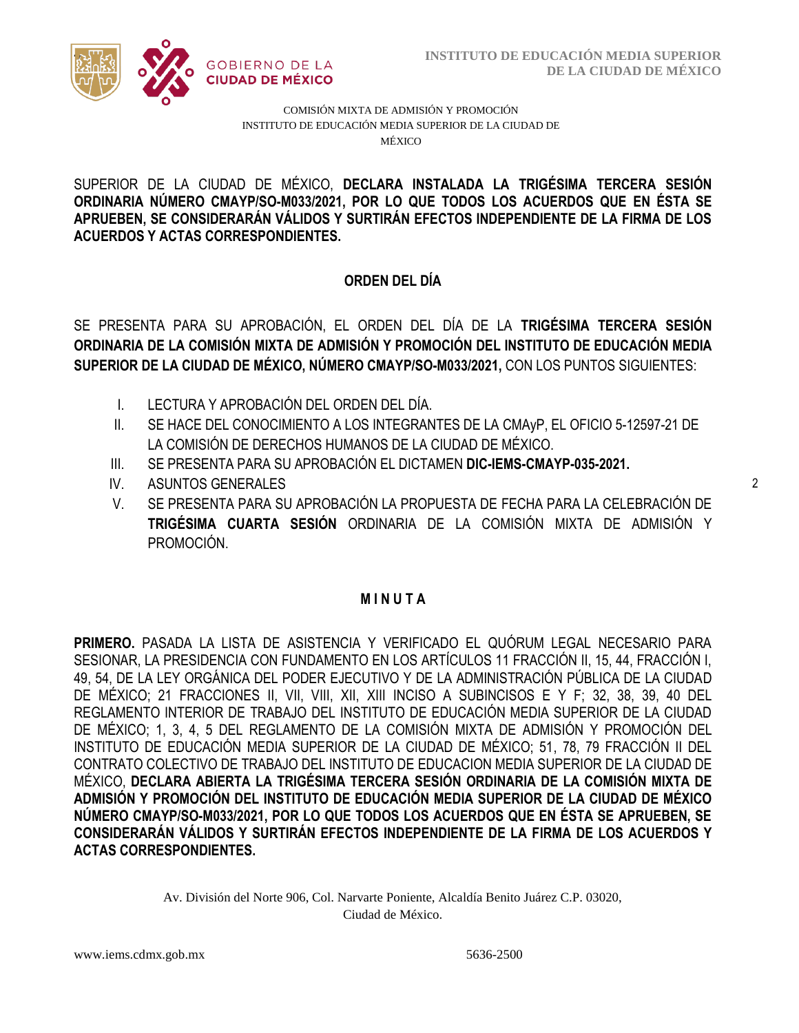

COMISIÓN MIXTA DE ADMISIÓN Y PROMOCIÓN INSTITUTO DE EDUCACIÓN MEDIA SUPERIOR DE LA CIUDAD DE MÉXICO

ORDINARIA NÚMERO CMAYP/SO-M033/2021, POR LO QUE TODOS LOS ACUERDOS QUE EN ÉSTA SE  **ACUERDOS Y ACTAS CORRESPONDIENTES.** SUPERIOR DE LA CIUDAD DE MÉXICO, **DECLARA INSTALADA LA TRIGÉSIMA TERCERA SESIÓN APRUEBEN, SE CONSIDERARÁN VÁLIDOS Y SURTIRÁN EFECTOS INDEPENDIENTE DE LA FIRMA DE LOS** 

# **ORDEN DEL DÍA**

SE PRESENTA PARA SU APROBACIÓN, EL ORDEN DEL DÍA DE LA **TRIGÉSIMA TERCERA SESIÓN ORDINARIA DE LA COMISIÓN MIXTA DE ADMISIÓN Y PROMOCIÓN DEL INSTITUTO DE EDUCACIÓN MEDIA SUPERIOR DE LA CIUDAD DE MÉXICO, NÚMERO CMAYP/SO-M033/2021,** CON LOS PUNTOS SIGUIENTES:

- I. LECTURA Y APROBACIÓN DEL ORDEN DEL DÍA.
- II. SE HACE DEL CONOCIMIENTO A LOS INTEGRANTES DE LA CMAyP, EL OFICIO 5-12597-21 DE LA COMISIÓN DE DERECHOS HUMANOS DE LA CIUDAD DE MÉXICO.
- III. SE PRESENTA PARA SU APROBACIÓN EL DICTAMEN **DIC-IEMS-CMAYP-035-2021.**
- IV. ASUNTOS GENERALES
- V. SE PRESENTA PARA SU APROBACIÓN LA PROPUESTA DE FECHA PARA LA CELEBRACIÓN DE **TRIGÉSIMA CUARTA SESIÓN** ORDINARIA DE LA COMISIÓN MIXTA DE ADMISIÓN Y PROMOCIÓN.

## **M I N U T A**

**PRIMERO.** PASADA LA LISTA DE ASISTENCIA Y VERIFICADO EL QUÓRUM LEGAL NECESARIO PARA SESIONAR, LA PRESIDENCIA CON FUNDAMENTO EN LOS ARTÍCULOS 11 FRACCIÓN II, 15, 44, FRACCIÓN I, 49, 54, DE LA LEY ORGÁNICA DEL PODER EJECUTIVO Y DE LA ADMINISTRACIÓN PÚBLICA DE LA CIUDAD DE MÉXICO; 21 FRACCIONES II, VII, VIII, XII, XIII INCISO A SUBINCISOS E Y F; 32, 38, 39, 40 DEL REGLAMENTO INTERIOR DE TRABAJO DEL INSTITUTO DE EDUCACIÓN MEDIA SUPERIOR DE LA CIUDAD DE MÉXICO; 1, 3, 4, 5 DEL REGLAMENTO DE LA COMISIÓN MIXTA DE ADMISIÓN Y PROMOCIÓN DEL INSTITUTO DE EDUCACIÓN MEDIA SUPERIOR DE LA CIUDAD DE MÉXICO; 51, 78, 79 FRACCIÓN II DEL CONTRATO COLECTIVO DE TRABAJO DEL INSTITUTO DE EDUCACION MEDIA SUPERIOR DE LA CIUDAD DE MÉXICO, **DECLARA ABIERTA LA TRIGÉSIMA TERCERA SESIÓN ORDINARIA DE LA COMISIÓN MIXTA DE ADMISIÓN Y PROMOCIÓN DEL INSTITUTO DE EDUCACIÓN MEDIA SUPERIOR DE LA CIUDAD DE MÉXICO NÚMERO CMAYP/SO-M033/2021, POR LO QUE TODOS LOS ACUERDOS QUE EN ÉSTA SE APRUEBEN, SE CONSIDERARÁN VÁLIDOS Y SURTIRÁN EFECTOS INDEPENDIENTE DE LA FIRMA DE LOS ACUERDOS Y ACTAS CORRESPONDIENTES.**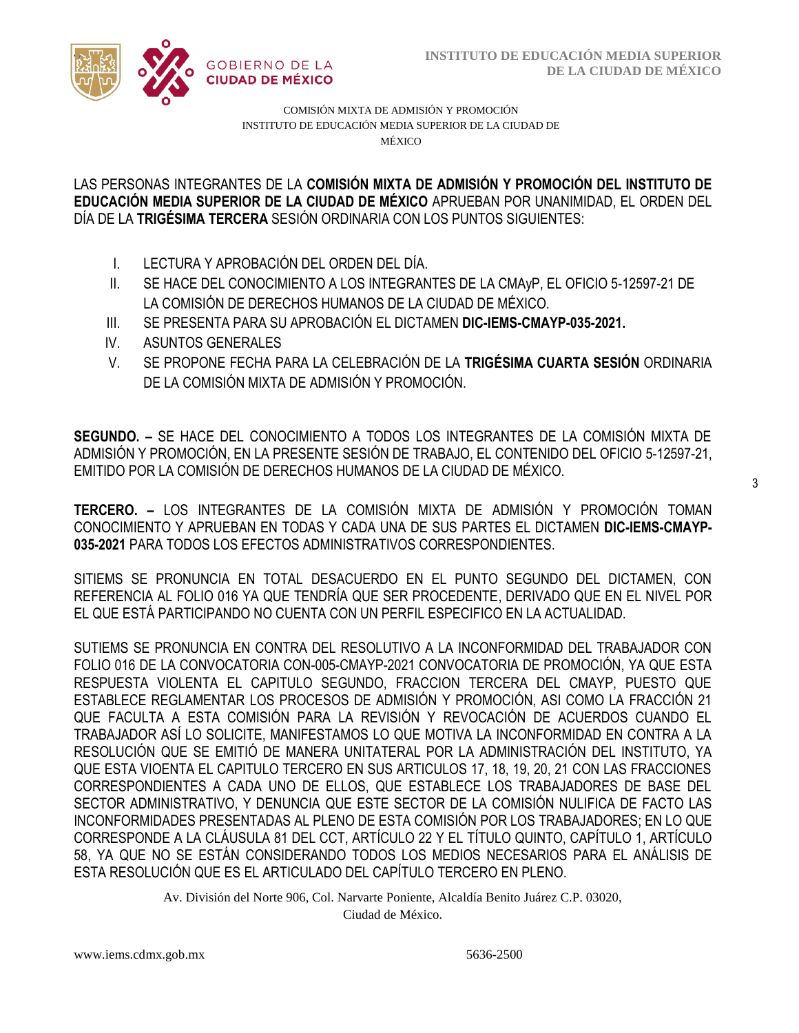

COMISIÓN MIXTA DE ADMISIÓN Y PROMOCIÓN INSTITUTO DE EDUCACIÓN MEDIA SUPERIOR DE LA CIUDAD DE MÉXICO

/2020 **EDUCACIÓN MEDIA SUPERIOR DE LA CIUDAD DE MÉXICO** APRUEBAN POR UNANIMIDAD, EL ORDEN DEL  LAS PERSONAS INTEGRANTES DE LA **COMISIÓN MIXTA DE ADMISIÓN Y PROMOCIÓN DEL INSTITUTO DE**  DÍA DE LA **TRIGÉSIMA TERCERA** SESIÓN ORDINARIA CON LOS PUNTOS SIGUIENTES:

- I. LECTURA Y APROBACIÓN DEL ORDEN DEL DÍA.
- II. SE HACE DEL CONOCIMIENTO A LOS INTEGRANTES DE LA CMAyP, EL OFICIO 5-12597-21 DE LA COMISIÓN DE DERECHOS HUMANOS DE LA CIUDAD DE MÉXICO.
- III. SE PRESENTA PARA SU APROBACIÓN EL DICTAMEN **DIC-IEMS-CMAYP-035-2021.**
- IV. ASUNTOS GENERALES
- V. SE PROPONE FECHA PARA LA CELEBRACIÓN DE LA **TRIGÉSIMA CUARTA SESIÓN** ORDINARIA DE LA COMISIÓN MIXTA DE ADMISIÓN Y PROMOCIÓN.

**SEGUNDO. –** SE HACE DEL CONOCIMIENTO A TODOS LOS INTEGRANTES DE LA COMISIÓN MIXTA DE ADMISIÓN Y PROMOCIÓN, EN LA PRESENTE SESIÓN DE TRABAJO, EL CONTENIDO DEL OFICIO 5-12597-21, EMITIDO POR LA COMISIÓN DE DERECHOS HUMANOS DE LA CIUDAD DE MÉXICO.

**TERCERO. –** LOS INTEGRANTES DE LA COMISIÓN MIXTA DE ADMISIÓN Y PROMOCIÓN TOMAN CONOCIMIENTO Y APRUEBAN EN TODAS Y CADA UNA DE SUS PARTES EL DICTAMEN **DIC-IEMS-CMAYP-035-2021** PARA TODOS LOS EFECTOS ADMINISTRATIVOS CORRESPONDIENTES.

SITIEMS SE PRONUNCIA EN TOTAL DESACUERDO EN EL PUNTO SEGUNDO DEL DICTAMEN, CON REFERENCIA AL FOLIO 016 YA QUE TENDRÍA QUE SER PROCEDENTE, DERIVADO QUE EN EL NIVEL POR EL QUE ESTÁ PARTICIPANDO NO CUENTA CON UN PERFIL ESPECIFICO EN LA ACTUALIDAD.

SUTIEMS SE PRONUNCIA EN CONTRA DEL RESOLUTIVO A LA INCONFORMIDAD DEL TRABAJADOR CON FOLIO 016 DE LA CONVOCATORIA CON-005-CMAYP-2021 CONVOCATORIA DE PROMOCIÓN, YA QUE ESTA RESPUESTA VIOLENTA EL CAPITULO SEGUNDO, FRACCION TERCERA DEL CMAYP, PUESTO QUE ESTABLECE REGLAMENTAR LOS PROCESOS DE ADMISIÓN Y PROMOCIÓN, ASI COMO LA FRACCIÓN 21 QUE FACULTA A ESTA COMISIÓN PARA LA REVISIÓN Y REVOCACIÓN DE ACUERDOS CUANDO EL TRABAJADOR ASÍ LO SOLICITE, MANIFESTAMOS LO QUE MOTIVA LA INCONFORMIDAD EN CONTRA A LA RESOLUCIÓN QUE SE EMITIÓ DE MANERA UNITATERAL POR LA ADMINISTRACIÓN DEL INSTITUTO, YA QUE ESTA VIOENTA EL CAPITULO TERCERO EN SUS ARTICULOS 17, 18, 19, 20, 21 CON LAS FRACCIONES CORRESPONDIENTES A CADA UNO DE ELLOS, QUE ESTABLECE LOS TRABAJADORES DE BASE DEL SECTOR ADMINISTRATIVO, Y DENUNCIA QUE ESTE SECTOR DE LA COMISIÓN NULIFICA DE FACTO LAS INCONFORMIDADES PRESENTADAS AL PLENO DE ESTA COMISIÓN POR LOS TRABAJADORES; EN LO QUE CORRESPONDE A LA CLÁUSULA 81 DEL CCT, ARTÍCULO 22 Y EL TÍTULO QUINTO, CAPÍTULO 1, ARTÍCULO 58, YA QUE NO SE ESTÁN CONSIDERANDO TODOS LOS MEDIOS NECESARIOS PARA EL ANÁLISIS DE ESTA RESOLUCIÓN QUE ES EL ARTICULADO DEL CAPÍTULO TERCERO EN PLENO.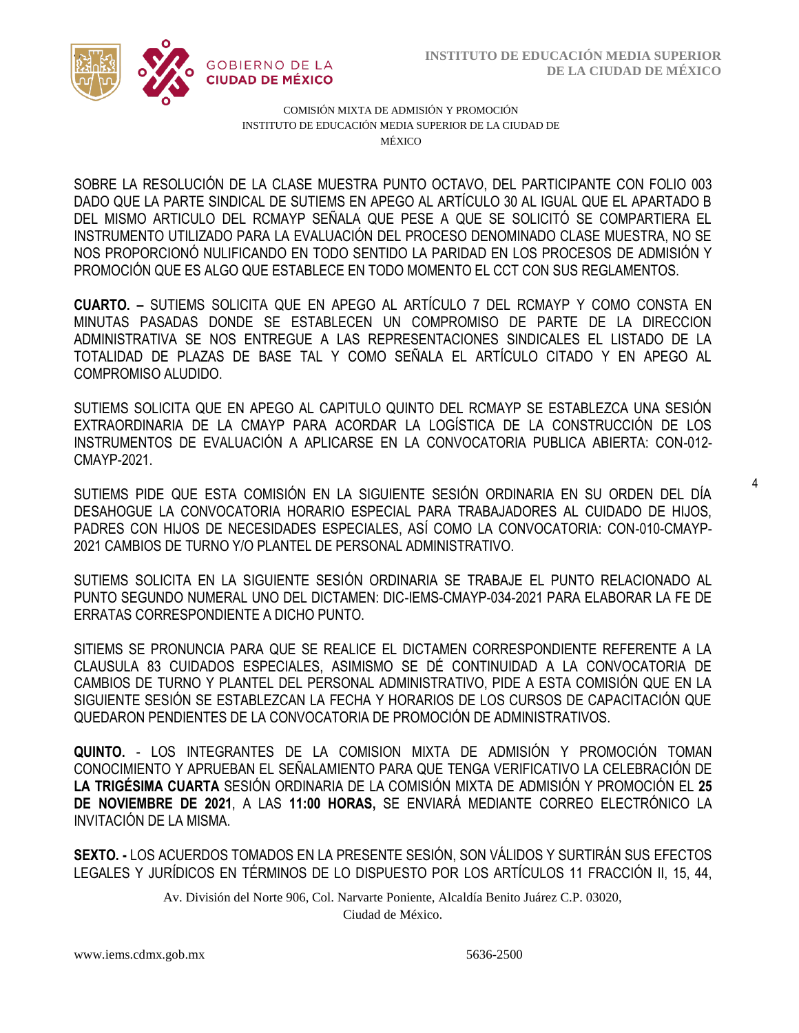4



COMISIÓN MIXTA DE ADMISIÓN Y PROMOCIÓN INSTITUTO DE EDUCACIÓN MEDIA SUPERIOR DE LA CIUDAD DE MÉXICO

DADO QUE LA PARTE SINDICAL DE SUTIEMS EN APEGO AL ARTÍCULO 30 AL IGUAL QUE EL APARTADO B  INSTRUMENTO UTILIZADO PARA LA EVALUACIÓN DEL PROCESO DENOMINADO CLASE MUESTRA, NO SE SOBRE LA RESOLUCIÓN DE LA CLASE MUESTRA PUNTO OCTAVO, DEL PARTICIPANTE CON FOLIO 003 DEL MISMO ARTICULO DEL RCMAYP SEÑALA QUE PESE A QUE SE SOLICITÓ SE COMPARTIERA EL NOS PROPORCIONÓ NULIFICANDO EN TODO SENTIDO LA PARIDAD EN LOS PROCESOS DE ADMISIÓN Y PROMOCIÓN QUE ES ALGO QUE ESTABLECE EN TODO MOMENTO EL CCT CON SUS REGLAMENTOS.

**CUARTO. –** SUTIEMS SOLICITA QUE EN APEGO AL ARTÍCULO 7 DEL RCMAYP Y COMO CONSTA EN MINUTAS PASADAS DONDE SE ESTABLECEN UN COMPROMISO DE PARTE DE LA DIRECCION ADMINISTRATIVA SE NOS ENTREGUE A LAS REPRESENTACIONES SINDICALES EL LISTADO DE LA TOTALIDAD DE PLAZAS DE BASE TAL Y COMO SEÑALA EL ARTÍCULO CITADO Y EN APEGO AL COMPROMISO ALUDIDO.

SUTIEMS SOLICITA QUE EN APEGO AL CAPITULO QUINTO DEL RCMAYP SE ESTABLEZCA UNA SESIÓN EXTRAORDINARIA DE LA CMAYP PARA ACORDAR LA LOGÍSTICA DE LA CONSTRUCCIÓN DE LOS INSTRUMENTOS DE EVALUACIÓN A APLICARSE EN LA CONVOCATORIA PUBLICA ABIERTA: CON-012- CMAYP-2021.

SUTIEMS PIDE QUE ESTA COMISIÓN EN LA SIGUIENTE SESIÓN ORDINARIA EN SU ORDEN DEL DÍA DESAHOGUE LA CONVOCATORIA HORARIO ESPECIAL PARA TRABAJADORES AL CUIDADO DE HIJOS, PADRES CON HIJOS DE NECESIDADES ESPECIALES, ASÍ COMO LA CONVOCATORIA: CON-010-CMAYP-2021 CAMBIOS DE TURNO Y/O PLANTEL DE PERSONAL ADMINISTRATIVO.

SUTIEMS SOLICITA EN LA SIGUIENTE SESIÓN ORDINARIA SE TRABAJE EL PUNTO RELACIONADO AL PUNTO SEGUNDO NUMERAL UNO DEL DICTAMEN: DIC-IEMS-CMAYP-034-2021 PARA ELABORAR LA FE DE ERRATAS CORRESPONDIENTE A DICHO PUNTO.

SITIEMS SE PRONUNCIA PARA QUE SE REALICE EL DICTAMEN CORRESPONDIENTE REFERENTE A LA CLAUSULA 83 CUIDADOS ESPECIALES, ASIMISMO SE DÉ CONTINUIDAD A LA CONVOCATORIA DE CAMBIOS DE TURNO Y PLANTEL DEL PERSONAL ADMINISTRATIVO, PIDE A ESTA COMISIÓN QUE EN LA SIGUIENTE SESIÓN SE ESTABLEZCAN LA FECHA Y HORARIOS DE LOS CURSOS DE CAPACITACIÓN QUE QUEDARON PENDIENTES DE LA CONVOCATORIA DE PROMOCIÓN DE ADMINISTRATIVOS.

**QUINTO.** - LOS INTEGRANTES DE LA COMISION MIXTA DE ADMISIÓN Y PROMOCIÓN TOMAN CONOCIMIENTO Y APRUEBAN EL SEÑALAMIENTO PARA QUE TENGA VERIFICATIVO LA CELEBRACIÓN DE **LA TRIGÉSIMA CUARTA** SESIÓN ORDINARIA DE LA COMISIÓN MIXTA DE ADMISIÓN Y PROMOCIÓN EL **25 DE NOVIEMBRE DE 2021**, A LAS **11:00 HORAS,** SE ENVIARÁ MEDIANTE CORREO ELECTRÓNICO LA INVITACIÓN DE LA MISMA.

**SEXTO. -** LOS ACUERDOS TOMADOS EN LA PRESENTE SESIÓN, SON VÁLIDOS Y SURTIRÁN SUS EFECTOS LEGALES Y JURÍDICOS EN TÉRMINOS DE LO DISPUESTO POR LOS ARTÍCULOS 11 FRACCIÓN II, 15, 44,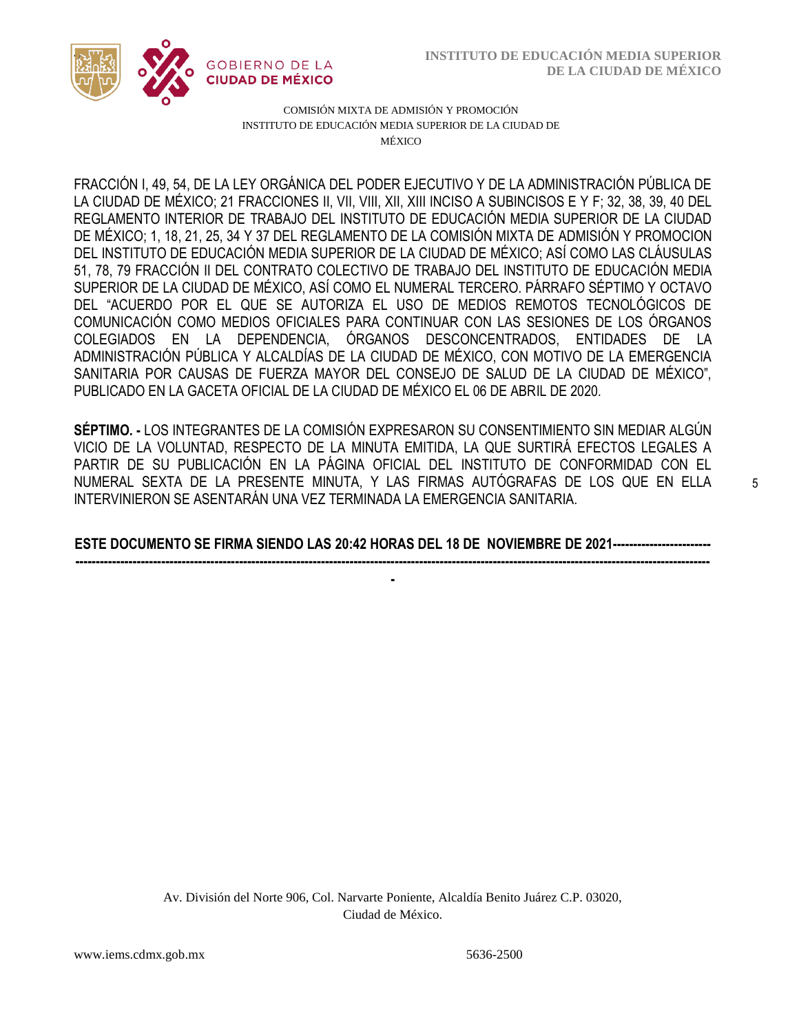

COMISIÓN MIXTA DE ADMISIÓN Y PROMOCIÓN INSTITUTO DE EDUCACIÓN MEDIA SUPERIOR DE LA CIUDAD DE MÉXICO

LA CIUDAD DE MÉXICO; 21 FRACCIONES II, VII, VIII, XII, XIII INCISO A SUBINCISOS E Y F; 32, 38, 39, 40 DEL  DE MÉXICO; 1, 18, 21, 25, 34 Y 37 DEL REGLAMENTO DE LA COMISIÓN MIXTA DE ADMISIÓN Y PROMOCION FRACCIÓN I, 49, 54, DE LA LEY ORGÁNICA DEL PODER EJECUTIVO Y DE LA ADMINISTRACIÓN PÚBLICA DE REGLAMENTO INTERIOR DE TRABAJO DEL INSTITUTO DE EDUCACIÓN MEDIA SUPERIOR DE LA CIUDAD DEL INSTITUTO DE EDUCACIÓN MEDIA SUPERIOR DE LA CIUDAD DE MÉXICO; ASÍ COMO LAS CLÁUSULAS 51, 78, 79 FRACCIÓN II DEL CONTRATO COLECTIVO DE TRABAJO DEL INSTITUTO DE EDUCACIÓN MEDIA SUPERIOR DE LA CIUDAD DE MÉXICO, ASÍ COMO EL NUMERAL TERCERO. PÁRRAFO SÉPTIMO Y OCTAVO DEL "ACUERDO POR EL QUE SE AUTORIZA EL USO DE MEDIOS REMOTOS TECNOLÓGICOS DE COMUNICACIÓN COMO MEDIOS OFICIALES PARA CONTINUAR CON LAS SESIONES DE LOS ÓRGANOS COLEGIADOS EN LA DEPENDENCIA, ÓRGANOS DESCONCENTRADOS, ENTIDADES DE LA ADMINISTRACIÓN PÚBLICA Y ALCALDÍAS DE LA CIUDAD DE MÉXICO, CON MOTIVO DE LA EMERGENCIA SANITARIA POR CAUSAS DE FUERZA MAYOR DEL CONSEJO DE SALUD DE LA CIUDAD DE MÉXICO", PUBLICADO EN LA GACETA OFICIAL DE LA CIUDAD DE MÉXICO EL 06 DE ABRIL DE 2020.

**SÉPTIMO. -** LOS INTEGRANTES DE LA COMISIÓN EXPRESARON SU CONSENTIMIENTO SIN MEDIAR ALGÚN VICIO DE LA VOLUNTAD, RESPECTO DE LA MINUTA EMITIDA, LA QUE SURTIRÁ EFECTOS LEGALES A PARTIR DE SU PUBLICACIÓN EN LA PÁGINA OFICIAL DEL INSTITUTO DE CONFORMIDAD CON EL NUMERAL SEXTA DE LA PRESENTE MINUTA, Y LAS FIRMAS AUTÓGRAFAS DE LOS QUE EN ELLA INTERVINIERON SE ASENTARÁN UNA VEZ TERMINADA LA EMERGENCIA SANITARIA.

**ESTE DOCUMENTO SE FIRMA SIENDO LAS 20:42 HORAS DEL 18 DE NOVIEMBRE DE 2021------------------------ -----------------------------------------------------------------------------------------------------------------------------------------------------------**

**-**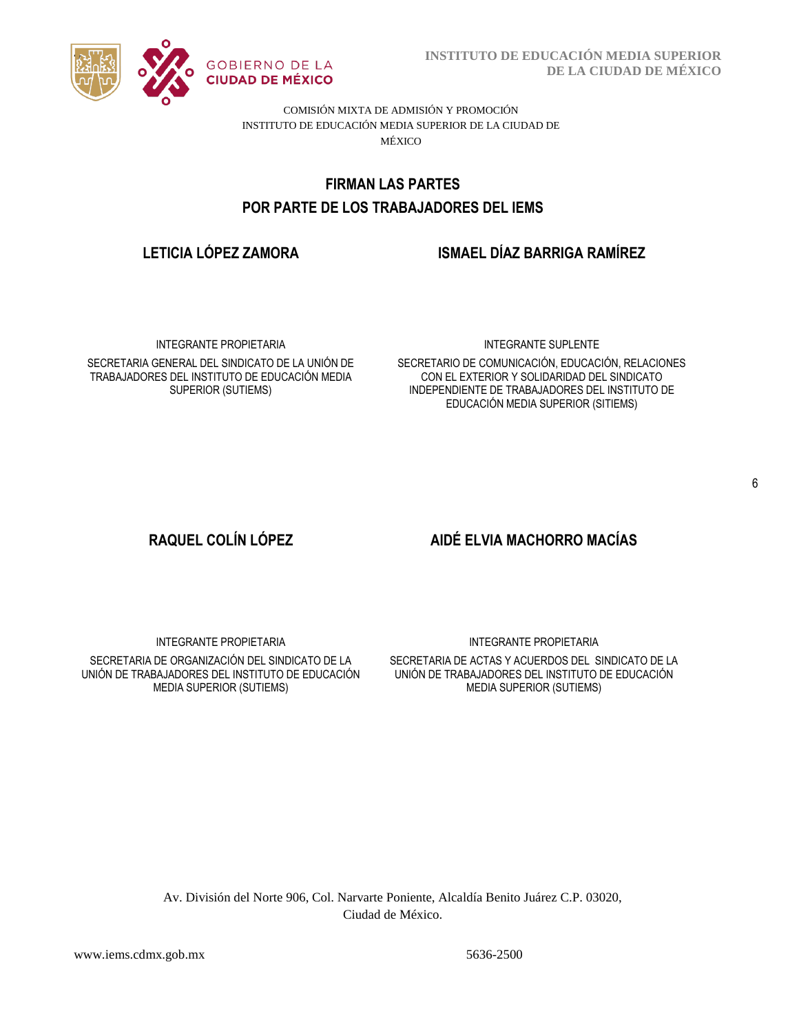

**INSTITUTO DE EDUCACIÓN MEDIA SUPERIOR DE LA CIUDAD DE MÉXICO**

COMISIÓN MIXTA DE ADMISIÓN Y PROMOCIÓN INSTITUTO DE EDUCACIÓN MEDIA SUPERIOR DE LA CIUDAD DE MÉXICO

# POR PARTE DE LOS TRABAJADORES DEL IEMS **FIRMAN LAS PARTES**

# **LETICIA LÓPEZ ZAMORA ISMAEL DÍAZ BARRIGA RAMÍREZ**

INTEGRANTE PROPIETARIA

SECRETARIA GENERAL DEL SINDICATO DE LA UNIÓN DE TRABAJADORES DEL INSTITUTO DE EDUCACIÓN MEDIA SUPERIOR (SUTIEMS)

#### INTEGRANTE SUPLENTE

SECRETARIO DE COMUNICACIÓN, EDUCACIÓN, RELACIONES CON EL EXTERIOR Y SOLIDARIDAD DEL SINDICATO INDEPENDIENTE DE TRABAJADORES DEL INSTITUTO DE EDUCACIÓN MEDIA SUPERIOR (SITIEMS)

#### 6

# **RAQUEL COLÍN LÓPEZ AIDÉ ELVIA MACHORRO MACÍAS**

INTEGRANTE PROPIETARIA

SECRETARIA DE ORGANIZACIÓN DEL SINDICATO DE LA UNIÓN DE TRABAJADORES DEL INSTITUTO DE EDUCACIÓN MEDIA SUPERIOR (SUTIEMS)

INTEGRANTE PROPIETARIA

SECRETARIA DE ACTAS Y ACUERDOS DEL SINDICATO DE LA UNIÓN DE TRABAJADORES DEL INSTITUTO DE EDUCACIÓN MEDIA SUPERIOR (SUTIEMS)